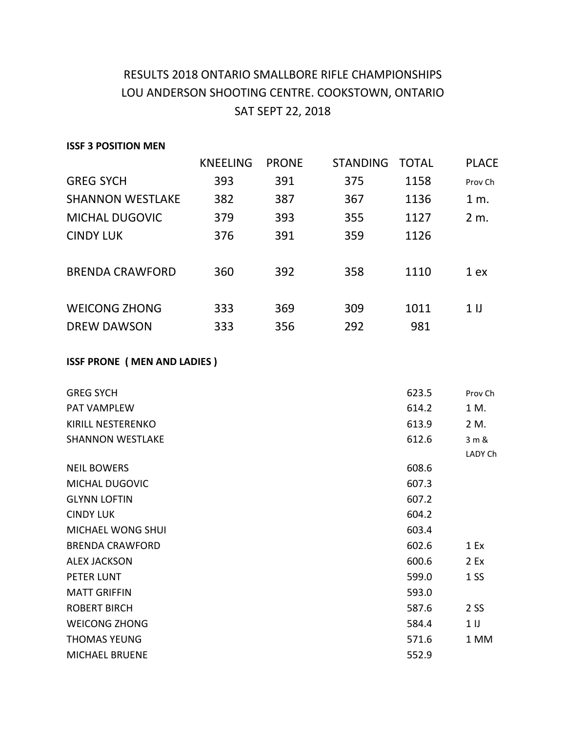## RESULTS 2018 ONTARIO SMALLBORE RIFLE CHAMPIONSHIPS LOU ANDERSON SHOOTING CENTRE. COOKSTOWN, ONTARIO SAT SEPT 22, 2018

#### **ISSF 3 POSITION MEN**

| <b>KNEELING</b> | <b>PRONE</b> | <b>STANDING</b> | <b>TOTAL</b> | <b>PLACE</b>    |
|-----------------|--------------|-----------------|--------------|-----------------|
| 393             | 391          | 375             | 1158         | Prov Ch         |
| 382             | 387          | 367             | 1136         | 1 m.            |
| 379             | 393          | 355             | 1127         | 2 m.            |
| 376             | 391          | 359             | 1126         |                 |
|                 |              |                 |              |                 |
| 360             | 392          | 358             | 1110         | 1 ex            |
|                 |              |                 |              |                 |
| 333             | 369          | 309             | 1011         | 1 <sub>II</sub> |
| 333             | 356          | 292             | 981          |                 |
|                 |              |                 |              |                 |

### **ISSF PRONE ( MEN AND LADIES )**

| <b>GREG SYCH</b>        | 623.5 | Prov Ch        |
|-------------------------|-------|----------------|
| PAT VAMPLEW             | 614.2 | 1 M.           |
| KIRILL NESTERENKO       | 613.9 | 2 M.           |
| <b>SHANNON WESTLAKE</b> | 612.6 | 3 m &          |
|                         |       | LADY Ch        |
| <b>NEIL BOWERS</b>      | 608.6 |                |
| MICHAL DUGOVIC          | 607.3 |                |
| <b>GLYNN LOFTIN</b>     | 607.2 |                |
| <b>CINDY LUK</b>        | 604.2 |                |
| MICHAEL WONG SHUI       | 603.4 |                |
| <b>BRENDA CRAWFORD</b>  | 602.6 | 1 Ex           |
| <b>ALEX JACKSON</b>     | 600.6 | 2 Ex           |
| PETER LUNT              | 599.0 | 1 <sub>S</sub> |
| <b>MATT GRIFFIN</b>     | 593.0 |                |
| <b>ROBERT BIRCH</b>     | 587.6 | 2 SS           |
| <b>WEICONG ZHONG</b>    | 584.4 | 1 <sub>1</sub> |
| <b>THOMAS YEUNG</b>     | 571.6 | 1 MM           |
| <b>MICHAEL BRUENE</b>   | 552.9 |                |